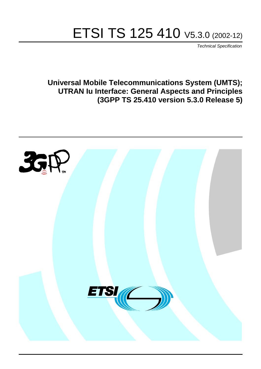# ETSI TS 125 410 V5.3.0 (2002-12)

Technical Specification

**Universal Mobile Telecommunications System (UMTS); UTRAN Iu Interface: General Aspects and Principles (3GPP TS 25.410 version 5.3.0 Release 5)**

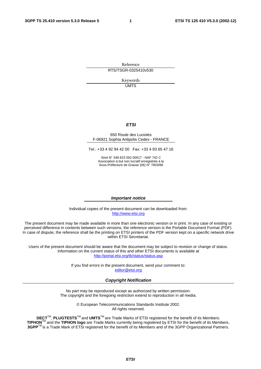Reference RTS/TSGR-0325410v530

> Keywords UMTS

#### **ETSI**

#### 650 Route des Lucioles F-06921 Sophia Antipolis Cedex - FRANCE

Tel.: +33 4 92 94 42 00 Fax: +33 4 93 65 47 16

Siret N° 348 623 562 00017 - NAF 742 C Association à but non lucratif enregistrée à la Sous-Préfecture de Grasse (06) N° 7803/88

#### **Important notice**

Individual copies of the present document can be downloaded from: [http://www.etsi.org](http://www.etsi.org/)

The present document may be made available in more than one electronic version or in print. In any case of existing or perceived difference in contents between such versions, the reference version is the Portable Document Format (PDF). In case of dispute, the reference shall be the printing on ETSI printers of the PDF version kept on a specific network drive within ETSI Secretariat.

Users of the present document should be aware that the document may be subject to revision or change of status. Information on the current status of this and other ETSI documents is available at <http://portal.etsi.org/tb/status/status.asp>

> If you find errors in the present document, send your comment to: [editor@etsi.org](mailto:editor@etsi.org)

#### **Copyright Notification**

No part may be reproduced except as authorized by written permission. The copyright and the foregoing restriction extend to reproduction in all media.

> © European Telecommunications Standards Institute 2002. All rights reserved.

**DECT**TM, **PLUGTESTS**TM and **UMTS**TM are Trade Marks of ETSI registered for the benefit of its Members. **TIPHON**TM and the **TIPHON logo** are Trade Marks currently being registered by ETSI for the benefit of its Members. **3GPP**TM is a Trade Mark of ETSI registered for the benefit of its Members and of the 3GPP Organizational Partners.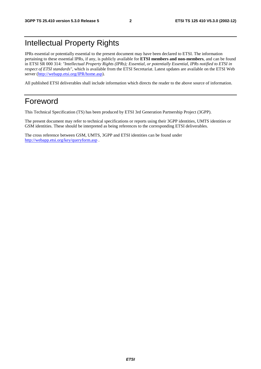## Intellectual Property Rights

IPRs essential or potentially essential to the present document may have been declared to ETSI. The information pertaining to these essential IPRs, if any, is publicly available for **ETSI members and non-members**, and can be found in ETSI SR 000 314: *"Intellectual Property Rights (IPRs); Essential, or potentially Essential, IPRs notified to ETSI in respect of ETSI standards"*, which is available from the ETSI Secretariat. Latest updates are available on the ETSI Web server ([http://webapp.etsi.org/IPR/home.asp\)](http://webapp.etsi.org/IPR/home.asp).

All published ETSI deliverables shall include information which directs the reader to the above source of information.

## Foreword

This Technical Specification (TS) has been produced by ETSI 3rd Generation Partnership Project (3GPP).

The present document may refer to technical specifications or reports using their 3GPP identities, UMTS identities or GSM identities. These should be interpreted as being references to the corresponding ETSI deliverables.

The cross reference between GSM, UMTS, 3GPP and ETSI identities can be found under <http://webapp.etsi.org/key/queryform.asp>.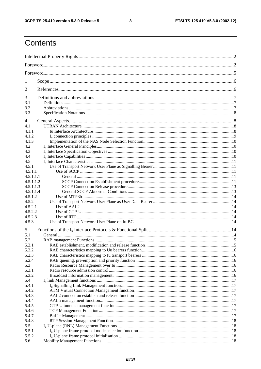$\mathbf{3}$ 

## Contents

| 1                |  |  |  |  |  |  |  |
|------------------|--|--|--|--|--|--|--|
| 2                |  |  |  |  |  |  |  |
| 3                |  |  |  |  |  |  |  |
| 3.1<br>3.2       |  |  |  |  |  |  |  |
| 3.3              |  |  |  |  |  |  |  |
| 4                |  |  |  |  |  |  |  |
| 4.1              |  |  |  |  |  |  |  |
| 4.1.1            |  |  |  |  |  |  |  |
| 4.1.2            |  |  |  |  |  |  |  |
| 4.1.3            |  |  |  |  |  |  |  |
| 4.2              |  |  |  |  |  |  |  |
| 4.3              |  |  |  |  |  |  |  |
| 4.4              |  |  |  |  |  |  |  |
| 4.5              |  |  |  |  |  |  |  |
| 4.5.1            |  |  |  |  |  |  |  |
| 4.5.1.1          |  |  |  |  |  |  |  |
| 4.5.1.1.1        |  |  |  |  |  |  |  |
| 4.5.1.1.2        |  |  |  |  |  |  |  |
| 4.5.1.1.3        |  |  |  |  |  |  |  |
| 4.5.1.1.4        |  |  |  |  |  |  |  |
| 4.5.1.2          |  |  |  |  |  |  |  |
| 4.5.2<br>4.5.2.1 |  |  |  |  |  |  |  |
| 4.5.2.2          |  |  |  |  |  |  |  |
| 4.5.2.3          |  |  |  |  |  |  |  |
| 4.5.3            |  |  |  |  |  |  |  |
|                  |  |  |  |  |  |  |  |
| 5                |  |  |  |  |  |  |  |
| 5.1              |  |  |  |  |  |  |  |
| 5.2              |  |  |  |  |  |  |  |
| 5.2.1<br>5.2.2   |  |  |  |  |  |  |  |
| 5.2.3            |  |  |  |  |  |  |  |
| 5.2.4            |  |  |  |  |  |  |  |
| 5.3              |  |  |  |  |  |  |  |
| 5.3.1            |  |  |  |  |  |  |  |
| 5.3.2            |  |  |  |  |  |  |  |
| 5.4              |  |  |  |  |  |  |  |
| 5.4.1            |  |  |  |  |  |  |  |
| 5.4.2            |  |  |  |  |  |  |  |
| 5.4.3            |  |  |  |  |  |  |  |
| 5.4.4            |  |  |  |  |  |  |  |
| 5.4.5            |  |  |  |  |  |  |  |
| 5.4.6            |  |  |  |  |  |  |  |
| 5.4.7            |  |  |  |  |  |  |  |
| 5.4.8            |  |  |  |  |  |  |  |
| 5.5              |  |  |  |  |  |  |  |
| 5.5.1            |  |  |  |  |  |  |  |
| 5.5.2            |  |  |  |  |  |  |  |
| 5.6              |  |  |  |  |  |  |  |
|                  |  |  |  |  |  |  |  |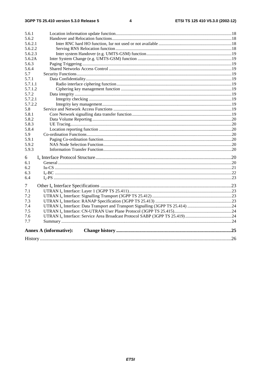| 5.6.1   |                               |  |  |  |  |  |  |
|---------|-------------------------------|--|--|--|--|--|--|
| 5.6.2   |                               |  |  |  |  |  |  |
| 5.6.2.1 |                               |  |  |  |  |  |  |
| 5.6.2.2 |                               |  |  |  |  |  |  |
| 5.6.2.3 |                               |  |  |  |  |  |  |
| 5.6.2A  |                               |  |  |  |  |  |  |
| 5.6.3   |                               |  |  |  |  |  |  |
| 5.6.4   |                               |  |  |  |  |  |  |
| 5.7     |                               |  |  |  |  |  |  |
| 5.7.1   |                               |  |  |  |  |  |  |
| 5.7.1.1 |                               |  |  |  |  |  |  |
| 5.7.1.2 |                               |  |  |  |  |  |  |
| 5.7.2   |                               |  |  |  |  |  |  |
| 5.7.2.1 |                               |  |  |  |  |  |  |
| 5.7.2.2 |                               |  |  |  |  |  |  |
| 5.8     |                               |  |  |  |  |  |  |
| 5.8.1   |                               |  |  |  |  |  |  |
| 5.8.2   |                               |  |  |  |  |  |  |
| 5.8.3   |                               |  |  |  |  |  |  |
| 5.8.4   |                               |  |  |  |  |  |  |
| 5.9     |                               |  |  |  |  |  |  |
| 5.9.1   |                               |  |  |  |  |  |  |
| 5.9.2   |                               |  |  |  |  |  |  |
| 5.9.3   |                               |  |  |  |  |  |  |
| 6       |                               |  |  |  |  |  |  |
| 6.1     |                               |  |  |  |  |  |  |
| 6.2     |                               |  |  |  |  |  |  |
| 6.3     |                               |  |  |  |  |  |  |
| 6.4     |                               |  |  |  |  |  |  |
| 7       |                               |  |  |  |  |  |  |
| 7.1     |                               |  |  |  |  |  |  |
| 7.2     |                               |  |  |  |  |  |  |
| 7.3     |                               |  |  |  |  |  |  |
| 7.4     |                               |  |  |  |  |  |  |
| 7.5     |                               |  |  |  |  |  |  |
| 7.6     |                               |  |  |  |  |  |  |
| 7.7     |                               |  |  |  |  |  |  |
|         | <b>Annex A (informative):</b> |  |  |  |  |  |  |
|         |                               |  |  |  |  |  |  |
|         |                               |  |  |  |  |  |  |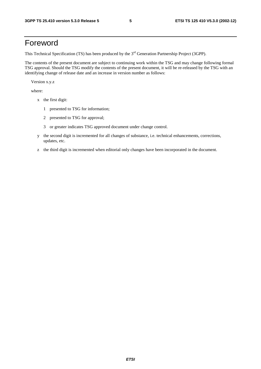## Foreword

This Technical Specification (TS) has been produced by the 3<sup>rd</sup> Generation Partnership Project (3GPP).

The contents of the present document are subject to continuing work within the TSG and may change following formal TSG approval. Should the TSG modify the contents of the present document, it will be re-released by the TSG with an identifying change of release date and an increase in version number as follows:

Version x.y.z

where:

- x the first digit:
	- 1 presented to TSG for information;
	- 2 presented to TSG for approval;
	- 3 or greater indicates TSG approved document under change control.
- y the second digit is incremented for all changes of substance, i.e. technical enhancements, corrections, updates, etc.
- z the third digit is incremented when editorial only changes have been incorporated in the document.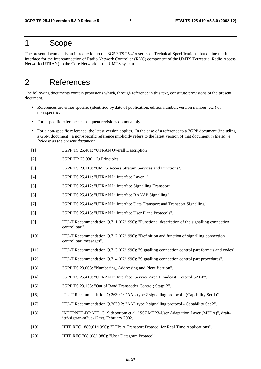### 1 Scope

The present document is an introduction to the 3GPP TS 25.41x series of Technical Specifications that define the Iu interface for the interconnection of Radio Network Controller (RNC) component of the UMTS Terrestrial Radio Access Network (UTRAN) to the Core Network of the UMTS system.

## 2 References

The following documents contain provisions which, through reference in this text, constitute provisions of the present document.

- References are either specific (identified by date of publication, edition number, version number, etc.) or non-specific.
- For a specific reference, subsequent revisions do not apply.
- For a non-specific reference, the latest version applies. In the case of a reference to a 3GPP document (including a GSM document), a non-specific reference implicitly refers to the latest version of that document *in the same Release as the present document*.
- [1] 3GPP TS 25.401: "UTRAN Overall Description".
- [2] 3GPP TR 23.930: "Iu Principles".
- [3] 3GPP TS 23.110: "UMTS Access Stratum Services and Functions".
- [4] 3GPP TS 25.411: "UTRAN Iu Interface Layer 1".
- [5] 3GPP TS 25.412: "UTRAN Iu Interface Signalling Transport".
- [6] 3GPP TS 25.413: "UTRAN Iu Interface RANAP Signalling".
- [7] 3GPP TS 25.414: "UTRAN Iu Interface Data Transport and Transport Signalling"
- [8] 3GPP TS 25.415: "UTRAN Iu Interface User Plane Protocols".
- [9] ITU-T Recommendation Q.711 (07/1996): "Functional description of the signalling connection control part".
- [10] ITU-T Recommendation Q.712 (07/1996): "Definition and function of signalling connection control part messages".
- [11] ITU-T Recommendation Q.713 (07/1996): "Signalling connection control part formats and codes".
- [12] ITU-T Recommendation Q.714 (07/1996): "Signalling connection control part procedures".
- [13] 3GPP TS 23.003: "Numbering, Addressing and Identification".
- [14] 3GPP TS 25.419: "UTRAN Iu Interface: Service Area Broadcast Protocol SABP".
- [15] 3GPP TS 23.153: "Out of Band Transcoder Control; Stage 2".
- [16] ITU-T Recommendation Q.2630.1: "AAL type 2 signalling protocol (Capability Set 1)".
- [17] ITU-T Recommendation Q.2630.2: "AAL type 2 signalling protocol Capability Set 2".
- [18] INTERNET-DRAFT, G. Sidebottom et al, "SS7 MTP3-User Adaptation Layer (M3UA)", draftietf-sigtran-m3ua-12.txt, February 2002.
- [19] IETF RFC 1889(01/1996): "RTP: A Transport Protocol for Real Time Applications".
- [20] IETF RFC 768 (08/1980): "User Datagram Protocol".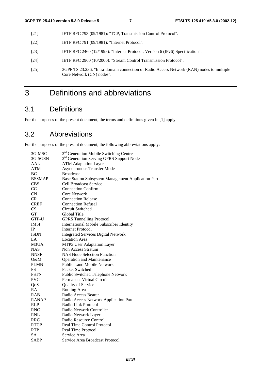- [21] IETF RFC 793 (09/1981): "TCP, Transmission Control Protocol".
- [22] **IETF RFC 791 (09/1981): "Internet Protocol".**
- [23] IETF RFC 2460 (12/1998): "Internet Protocol, Version 6 (IPv6) Specification".
- [24] IETF RFC 2960 (10/2000): "Stream Control Transmission Protocol".
- [25] 3GPP TS 23.236: "Intra-domain connection of Radio Access Network (RAN) nodes to multiple Core Network (CN) nodes".

## 3 Definitions and abbreviations

## 3.1 Definitions

For the purposes of the present document, the terms and definitions given in [1] apply.

## 3.2 Abbreviations

For the purposes of the present document, the following abbreviations apply:

| 3G-MSC        | 3 <sup>rd</sup> Generation Mobile Switching Centre   |  |  |  |  |
|---------------|------------------------------------------------------|--|--|--|--|
| 3G-SGSN       | 3 <sup>rd</sup> Generation Serving GPRS Support Node |  |  |  |  |
| AAL           | <b>ATM Adaptation Layer</b>                          |  |  |  |  |
| <b>ATM</b>    | <b>Asynchronous Transfer Mode</b>                    |  |  |  |  |
| BC            | <b>Broadcast</b>                                     |  |  |  |  |
| <b>BSSMAP</b> | Base Station Subsystem Management Application Part   |  |  |  |  |
| <b>CBS</b>    | <b>Cell Broadcast Service</b>                        |  |  |  |  |
| CC            | <b>Connection Confirm</b>                            |  |  |  |  |
| CN            | <b>Core Network</b>                                  |  |  |  |  |
| <b>CR</b>     | <b>Connection Release</b>                            |  |  |  |  |
| <b>CREF</b>   | <b>Connection Refusal</b>                            |  |  |  |  |
| CS            | Circuit Switched                                     |  |  |  |  |
| <b>GT</b>     | Global Title                                         |  |  |  |  |
| GTP-U         | <b>GPRS</b> Tunnelling Protocol                      |  |  |  |  |
| <b>IMSI</b>   | <b>International Mobile Subscriber Identity</b>      |  |  |  |  |
| IP            | <b>Internet Protocol</b>                             |  |  |  |  |
| <b>ISDN</b>   | <b>Integrated Services Digital Network</b>           |  |  |  |  |
| LA            | <b>Location Area</b>                                 |  |  |  |  |
| M3UA          | MTP3 User Adaptation Layer                           |  |  |  |  |
| <b>NAS</b>    | Non Access Stratum                                   |  |  |  |  |
| <b>NNSF</b>   | <b>NAS Node Selection Function</b>                   |  |  |  |  |
| $O\&M$        | <b>Operation and Maintenance</b>                     |  |  |  |  |
| <b>PLMN</b>   | <b>Public Land Mobile Network</b>                    |  |  |  |  |
| <b>PS</b>     | Packet Switched                                      |  |  |  |  |
| <b>PSTN</b>   | Public Switched Telephone Network                    |  |  |  |  |
| <b>PVC</b>    | <b>Permanent Virtual Circuit</b>                     |  |  |  |  |
| QoS           | <b>Quality of Service</b>                            |  |  |  |  |
| <b>RA</b>     | Routing Area                                         |  |  |  |  |
| <b>RAB</b>    | Radio Access Bearer                                  |  |  |  |  |
| <b>RANAP</b>  | Radio Access Network Application Part                |  |  |  |  |
| <b>RLP</b>    | Radio Link Protocol                                  |  |  |  |  |
| <b>RNC</b>    | Radio Network Controller                             |  |  |  |  |
| <b>RNL</b>    | Radio Network Layer                                  |  |  |  |  |
| <b>RRC</b>    | Radio Resource Control                               |  |  |  |  |
| <b>RTCP</b>   | <b>Real Time Control Protocol</b>                    |  |  |  |  |
| <b>RTP</b>    | Real Time Protocol                                   |  |  |  |  |
| <b>SA</b>     | Service Area                                         |  |  |  |  |
| <b>SABP</b>   | Service Area Broadcast Protocol                      |  |  |  |  |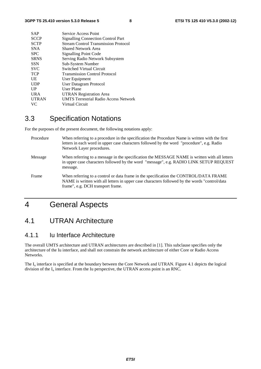| <b>SAP</b>   | Service Access Point                         |
|--------------|----------------------------------------------|
| <b>SCCP</b>  | <b>Signalling Connection Control Part</b>    |
| <b>SCTP</b>  | <b>Stream Control Transmission Protocol</b>  |
| <b>SNA</b>   | Shared Network Area                          |
| <b>SPC</b>   | <b>Signalling Point Code</b>                 |
| <b>SRNS</b>  | Serving Radio Network Subsystem              |
| <b>SSN</b>   | Sub-System Number                            |
| <b>SVC</b>   | <b>Switched Virtual Circuit</b>              |
| <b>TCP</b>   | <b>Transmission Control Protocol</b>         |
| UE           | User Equipment                               |
| <b>UDP</b>   | User Datagram Protocol                       |
| UP           | User Plane                                   |
| <b>URA</b>   | <b>UTRAN Registration Area</b>               |
| <b>UTRAN</b> | <b>UMTS Terrestrial Radio Access Network</b> |
| VC.          | Virtual Circuit                              |
|              |                                              |

## 3.3 Specification Notations

For the purposes of the present document, the following notations apply:

| Procedure | When referring to a procedure in the specification the Procedure Name is written with the first<br>letters in each word in upper case characters followed by the word "procedure", e.g. Radio<br>Network Layer procedures.   |
|-----------|------------------------------------------------------------------------------------------------------------------------------------------------------------------------------------------------------------------------------|
| Message   | When referring to a message in the specification the MESSAGE NAME is written with all letters<br>in upper case characters followed by the word "message", e.g. RADIO LINK SETUP REQUEST<br>message.                          |
| Frame     | When referring to a control or data frame in the specification the CONTROL/DATA FRAME<br>NAME is written with all letters in upper case characters followed by the words "control/data"<br>frame", e.g. DCH transport frame. |

## 4 General Aspects

### 4.1 UTRAN Architecture

### 4.1.1 Iu Interface Architecture

The overall UMTS architecture and UTRAN architectures are described in [1]. This subclause specifies only the architecture of the Iu interface, and shall not constrain the network architecture of either Core or Radio Access Networks.

The  $I_{\text{u}}$  interface is specified at the boundary between the Core Network and UTRAN. Figure 4.1 depicts the logical division of the  $I_u$  interface. From the Iu perspective, the UTRAN access point is an RNC.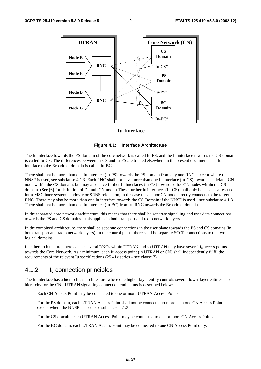

#### **Iu Interface**

#### **Figure 4.1: Iu Interface Architecture**

The Iu interface towards the PS-domain of the core network is called Iu-PS, and the Iu interface towards the CS-domain is called Iu-CS. The differences between Iu-CS and Iu-PS are treated elsewhere in the present document. The Iu interface to the Broadcast domain is called Iu-BC.

There shall not be more than one Iu interface (Iu-PS) towards the PS-domain from any one RNC– except where the NNSF is used, see subclause 4.1.3. Each RNC shall not have more than one Iu interface (Iu-CS) towards its default CN node within the CS domain, but may also have further Iu interfaces (Iu-CS) towards other CN nodes within the CS domain. (See [6] for definition of Default CN node.) These further Iu interfaces (Iu-CS) shall only be used as a result of intra-MSC inter-system handover or SRNS relocation, in the case the anchor CN node directly connects to the target RNC. There may also be more than one Iu interface towards the CS-Domain if the NNSF is used – see subclause 4.1.3. There shall not be more than one Iu interface (Iu-BC) from an RNC towards the Broadcast domain.

In the separated core network architecture, this means that there shall be separate signalling and user data connections towards the PS and CS domains – this applies in both transport and radio network layers.

In the combined architecture, there shall be separate connections in the user plane towards the PS and CS domains (in both transport and radio network layers). In the control plane, there shall be separate SCCP connections to the two logical domains.

In either architecture, there can be several RNCs within UTRAN and so UTRAN may have several  $I_u$  access points towards the Core Network. As a minimum, each Iu access point (in UTRAN or CN) shall independently fulfil the requirements of the relevant Iu specifications (25.41x series – see clause 7).

### 4.1.2 Iu connection principles

The Iu interface has a hierarchical architecture where one higher layer entity controls several lower layer entities. The hierarchy for the CN - UTRAN signalling connection end points is described below:

- Each CN Access Point may be connected to one or more UTRAN Access Points.
- For the PS domain, each UTRAN Access Point shall not be connected to more than one CN Access Point except where the NNSF is used, see subclause 4.1.3.
- For the CS domain, each UTRAN Access Point may be connected to one or more CN Access Points.
- For the BC domain, each UTRAN Access Point may be connected to one CN Access Point only.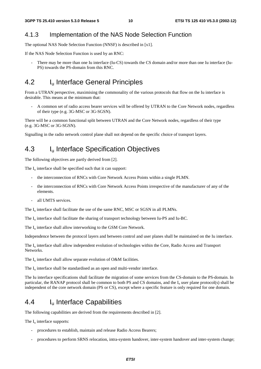### 4.1.3 Implementation of the NAS Node Selection Function

The optional NAS Node Selection Function (NNSF) is described in [x1].

If the NAS Node Selection Function is used by an RNC:

There may be more than one Iu interface (Iu-CS) towards the CS domain and/or more than one Iu interface (Iu-PS) towards the PS-domain from this RNC.

## 4.2 I<sub>u</sub> Interface General Principles

From a UTRAN perspective, maximising the commonality of the various protocols that flow on the Iu interface is desirable. This means at the minimum that:

- A common set of radio access bearer services will be offered by UTRAN to the Core Network nodes, regardless of their type (e.g. 3G-MSC or 3G-SGSN).

There will be a common functional split between UTRAN and the Core Network nodes, regardless of their type (e.g. 3G-MSC or 3G-SGSN).

Signalling in the radio network control plane shall not depend on the specific choice of transport layers.

### 4.3 I<sub>u</sub> Interface Specification Objectives

The following objectives are partly derived from [2].

The  $I<sub>u</sub>$  interface shall be specified such that it can support:

- the interconnection of RNCs with Core Network Access Points within a single PLMN.
- the interconnection of RNCs with Core Network Access Points irrespective of the manufacturer of any of the elements.
- all UMTS services.

The  $I_{\text{u}}$  interface shall facilitate the use of the same RNC, MSC or SGSN in all PLMNs.

The  $I_{\text{u}}$  interface shall facilitate the sharing of transport technology between Iu-PS and Iu-BC.

The  $I_u$  interface shall allow interworking to the GSM Core Network.

Independence between the protocol layers and between control and user planes shall be maintained on the Iu interface.

The  $I_{\text{u}}$  interface shall allow independent evolution of technologies within the Core, Radio Access and Transport Networks.

The  $I_u$  interface shall allow separate evolution of O&M facilities.

The  $I_{\nu}$  interface shall be standardised as an open and multi-vendor interface.

The Iu interface specifications shall facilitate the migration of some services from the CS-domain to the PS-domain. In particular, the RANAP protocol shall be common to both PS and CS domains, and the  $I<sub>u</sub>$  user plane protocol(s) shall be independent of the core network domain (PS or CS), except where a specific feature is only required for one domain.

### 4.4 Iu Interface Capabilities

The following capabilities are derived from the requirements described in [2].

The  $I_{\text{u}}$  interface supports:

- procedures to establish, maintain and release Radio Access Bearers;
- procedures to perform SRNS relocation, intra-system handover, inter-system handover and inter-system change;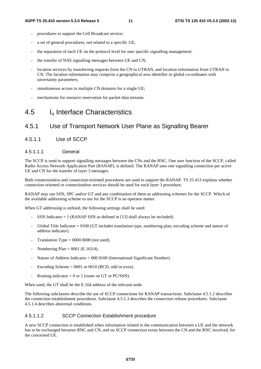- procedures to support the Cell Broadcast service;
- a set of general procedures, not related to a specific UE;
- the separation of each UE on the protocol level for user specific signalling management;
- the transfer of NAS signalling messages between UE and CN;
- location services by transferring requests from the CN to UTRAN, and location information from UTRAN to CN. The location information may comprise a geographical area identifier or global co-ordinates with uncertainty parameters;
- simultaneous access to multiple CN domains for a single UE;
- mechanisms for resource reservation for packet data streams.

### 4.5 Iu Interface Characteristics

### 4.5.1 Use of Transport Network User Plane as Signalling Bearer

4.5.1.1 Use of SCCP

#### 4.5.1.1.1 General

The SCCP is used to support signalling messages between the CNs and the RNC. One user function of the SCCP, called Radio Access Network Application Part (RANAP), is defined. The RANAP uses one signalling connection per active UE and CN for the transfer of layer 3 messages.

Both connectionless and connection-oriented procedures are used to support the RANAP. TS 25.413 explains whether connection oriented or connectionless services should be used for each layer 3 procedure.

RANAP may use SSN, SPC and/or GT and any combination of them as addressing schemes for the SCCP. Which of the available addressing scheme to use for the SCCP is an operator matter.

When GT addressing is utilised, the following settings shall be used:

- SSN Indicator  $= 1$  (RANAP SSN as defined in [13] shall always be included).
- Global Title Indicator  $= 0100$  (GT includes translation type, numbering plan, encoding scheme and nature of address indicator).
- Translation Type =  $0000 0000$  (not used).
- Numbering Plan =  $0001$  (E.163/4).
- Nature of Address Indicator = 000 0100 (International Significant Number).
- Encoding Scheme  $= 0001$  or 0010 (BCD, odd or even).
- Routing indicator = 0 or 1 (route on GT or PC/SSN).

When used, the GT shall be the E.164 address of the relevant node.

The following subclauses describe the use of SCCP connections for RANAP transactions. Subclause 4.5.1.2 describes the connection establishment procedures. Subclause 4.5.1.3 describes the connection release procedures. Subclause 4.5.1.4 describes abnormal conditions.

#### 4.5.1.1.2 SCCP Connection Establishment procedure

A new SCCP connection is established when information related to the communication between a UE and the network has to be exchanged between RNC and CN, and no SCCP connection exists between the CN and the RNC involved, for the concerned UE.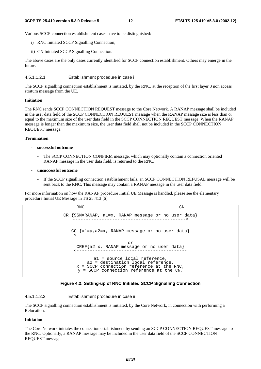Various SCCP connection establishment cases have to be distinguished:

- i) RNC Initiated SCCP Signalling Connection;
- ii) CN Initiated SCCP Signalling Connection.

The above cases are the only cases currently identified for SCCP connection establishment. Others may emerge in the future.

4.5.1.1.2.1 Establishment procedure in case i

The SCCP signalling connection establishment is initiated, by the RNC, at the reception of the first layer 3 non access stratum message from the UE.

#### **Initiation**

The RNC sends SCCP CONNECTION REQUEST message to the Core Network. A RANAP message shall be included in the user data field of the SCCP CONNECTION REQUEST message when the RANAP message size is less than or equal to the maximum size of the user data field in the SCCP CONNECTION REQUEST message. When the RANAP message is longer than the maximum size, the user data field shall not be included in the SCCP CONNECTION REQUEST message.

#### **Termination**

- **successful outcome** 
	- The SCCP CONNECTION CONFIRM message, which may optionally contain a connection oriented RANAP message in the user data field, is returned to the RNC.
- **unsuccessful outcome** 
	- If the SCCP signalling connection establishment fails, an SCCP CONNECTION REFUSAL message will be sent back to the RNC. This message may contain a RANAP message in the user data field.

For more information on how the RANAP procedure Initial UE Message is handled, please see the elementary procedure Initial UE Message in TS 25.413 [6].

```
RNC CN
CR {SSN=RANAP, a1=x, RANAP message or no user data} 
   -------------------------------------------> 
  CC {a1=y,a2=x, RANAP message or no user data} 
    <------------------------------------------ 
                       or 
    CREF{a2=x, RANAP message or no user data} 
    <------------------------------------------ 
           a1 = source local reference, 
        a2 = destination local reference, 
    x = SCCP connection reference at the RNC,
     y = SCCP connection reference at the CN.
```


#### 4.5.1.1.2.2 Establishment procedure in case ii

The SCCP signalling connection establishment is initiated, by the Core Network, in connection with performing a Relocation.

#### **Initiation**

The Core Network initiates the connection establishment by sending an SCCP CONNECTION REQUEST message to the RNC. Optionally, a RANAP message may be included in the user data field of the SCCP CONNECTION REQUEST message.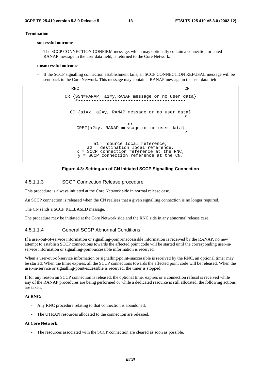#### **Termination**

- **successful outcome** 
	- The SCCP CONNECTION CONFIRM message, which may optionally contain a connection oriented RANAP message in the user data field, is returned to the Core Network.
- **unsuccessful outcome** 
	- If the SCCP signalling connection establishment fails, an SCCP CONNECTION REFUSAL message will be sent back to the Core Network. This message may contain a RANAP message in the user data field.

RNC CN CR {SSN=RANAP, a1=y,RANAP message or no user data} <----------------------------------------- CC {a1=x, a2=y, RANAP message or no user data} ------------------------------------------> or CREF{a2=y, RANAP message or no user data} ------------------------------------------> a1 = source local reference, a2 = destination local reference, x = SCCP connection reference at the RNC, y = SCCP connection reference at the CN.



#### 4.5.1.1.3 SCCP Connection Release procedure

This procedure is always initiated at the Core Network side in normal release case.

An SCCP connection is released when the CN realises that a given signalling connection is no longer required.

The CN sends a SCCP RELEASED message.

The procedure may be initiated at the Core Network side and the RNC side in any abnormal release case.

#### 4.5.1.1.4 General SCCP Abnormal Conditions

If a user-out-of-service information or signalling-point-inaccessible information is received by the RANAP, no new attempt to establish SCCP connections towards the affected point code will be started until the corresponding user-inservice information or signalling-point-accessible information is received.

When a user-out-of-service information or signalling-point-inaccessible is received by the RNC, an optional timer may be started. When the timer expires, all the SCCP connections towards the affected point code will be released. When the user-in-service or signalling-point-accessible is received, the timer is stopped.

If for any reason an SCCP connection is released, the optional timer expires or a connection refusal is received while any of the RANAP procedures are being performed or while a dedicated resource is still allocated, the following actions are taken:

#### **At RNC:**

- Any RNC procedure relating to that connection is abandoned.
- The UTRAN resources allocated to the connection are released.

#### **At Core Network:**

The resources associated with the SCCP connection are cleared as soon as possible.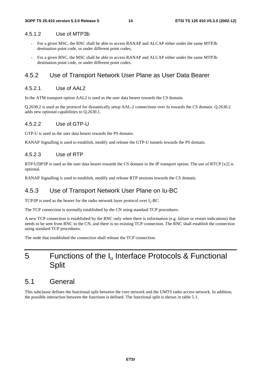#### 4.5.1.2 Use of MTP3b

- For a given MSC, the RNC shall be able to access RANAP and ALCAP either under the same MTP3b destination point code, or under different point codes;
- For a given RNC, the MSC shall be able to access RANAP and ALCAP either under the same MTP3b destination point code, or under different point codes.

#### 4.5.2 Use of Transport Network User Plane as User Data Bearer

#### 4.5.2.1 Use of AAL2

In the ATM transport option AAL2 is used as the user data bearer towards the CS domain.

Q.2630.2 is used as the protocol for dynamically setup AAL-2 connections over Iu towards the CS domain. Q.2630.2 adds new optional capabilities to Q.2630.1.

#### 4.5.2.2 Use of GTP-U

GTP-U is used as the user data bearer towards the PS domain.

RANAP Signalling is used to establish, modify and release the GTP-U tunnels towards the PS domain.

#### 4.5.2.3 Use of RTP

RTP/UDP/IP is used as the user data bearer towards the CS domain in the IP transport option. The use of RTCP [x2] is optional.

RANAP Signalling is used to establish, modify and release RTP sessions towards the CS domain.

#### 4.5.3 Use of Transport Network User Plane on Iu-BC

TCP/IP is used as the bearer for the radio network layer protocol over  $I_u$ -BC.

The TCP connection is normally established by the CN using standard TCP procedures.

A new TCP connection is established by the RNC only when there is information (e.g. failure or restart indications) that needs to be sent from RNC to the CN, and there is no existing TCP connection. The RNC shall establish the connection using standard TCP procedures.

The node that established the connection shall release the TCP connection.

## 5 Functions of the I<sub>u</sub> Interface Protocols & Functional **Split**

### 5.1 General

This subclause defines the functional split between the core network and the UMTS radio access network. In addition, the possible interaction between the functions is defined. The functional split is shown in table 5.1.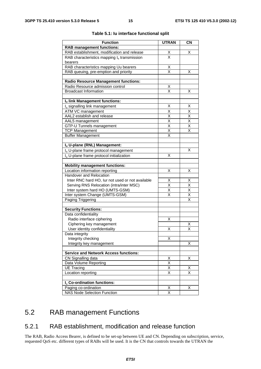| <b>Function</b>                                      | <b>UTRAN</b>                    | $\overline{\text{CN}}$  |
|------------------------------------------------------|---------------------------------|-------------------------|
| <b>RAB management functions:</b>                     |                                 |                         |
| RAB establishment, modification and release          |                                 | X                       |
| RAB characteristics mapping $I_u$ transmission       | $\frac{\mathsf{X}}{\mathsf{X}}$ |                         |
| bearers                                              |                                 |                         |
| RAB characteristics mapping Uu bearers               | <u>Х</u>                        |                         |
| RAB queuing, pre-emption and priority                | $\overline{\mathsf{x}}$         | X                       |
|                                                      |                                 |                         |
| <b>Radio Resource Management functions:</b>          |                                 |                         |
| Radio Resource admission control                     | Χ                               |                         |
| <b>Broadcast Information</b>                         | $\overline{\mathsf{x}}$         | Χ                       |
|                                                      |                                 |                         |
| Iu link Management functions:                        |                                 |                         |
| I <sub>u</sub> signalling link management            | Χ                               | х                       |
| ATM VC management                                    | X                               | $\overline{\mathsf{x}}$ |
| AAL2 establish and release                           | X                               | X                       |
| AAL5 management                                      | $\overline{\mathsf{x}}$         | $\overline{\mathsf{x}}$ |
| GTP-U Tunnels management                             | $\overline{\mathsf{x}}$         | X                       |
| <b>TCP Management</b>                                | $\overline{\mathsf{x}}$         | X                       |
| <b>Buffer Management</b>                             | X                               |                         |
|                                                      |                                 |                         |
| Iu U-plane (RNL) Management:                         |                                 |                         |
| I <sub>u</sub> U-plane frame protocol management     |                                 | X                       |
| I <sub>u</sub> U-plane frame protocol initialization | х                               |                         |
|                                                      |                                 |                         |
| <b>Mobility management functions:</b>                |                                 |                         |
| Location information reporting                       | X                               | Χ                       |
| Handover and Relocation                              |                                 |                         |
| Inter RNC hard HO, lur not used or not available     | Χ                               | Χ                       |
| Serving RNS Relocation (intra/inter MSC)             | $\overline{\mathsf{x}}$         | $\overline{\mathsf{x}}$ |
| Inter system hard HO (UMTS-GSM)                      | $\overline{\mathsf{x}}$         | $\overline{\mathsf{x}}$ |
| Inter system Change (UMTS-GSM)                       | $\overline{\mathsf{x}}$         | Χ                       |
| Paging Triggering                                    |                                 | $\overline{\mathsf{x}}$ |
|                                                      |                                 |                         |
| <b>Security Functions:</b>                           |                                 |                         |
| Data confidentiality                                 |                                 |                         |
| Radio interface ciphering                            | Х                               |                         |
| Ciphering key management                             |                                 | Χ                       |
| User identity confidentiality                        | Χ                               | $\overline{\mathsf{x}}$ |
| Data integrity                                       |                                 |                         |
| Integrity checking                                   | Χ                               |                         |
| Integrity key management                             |                                 | X                       |
|                                                      |                                 |                         |
| <b>Service and Network Access functions:</b>         |                                 |                         |
| CN Signalling data                                   | X                               | X                       |
| Data Volume Reporting                                | $\overline{\mathsf{x}}$         |                         |
| <b>UE Tracing</b>                                    | Χ                               | Χ                       |
| Location reporting                                   | $\overline{\mathsf{x}}$         | $\overline{\mathsf{x}}$ |
|                                                      |                                 |                         |
| I <sub>u</sub> Co-ordination functions:              |                                 |                         |
| Paging co-ordination                                 | х                               | X                       |
| <b>NAS Node Selection Function</b>                   | X                               |                         |

#### **Table 5.1: Iu interface functional split**

## 5.2 RAB management Functions

### 5.2.1 RAB establishment, modification and release function

The RAB, Radio Access Bearer, is defined to be set-up between UE and CN. Depending on subscription, service, requested QoS etc. different types of RABs will be used. It is the CN that controls towards the UTRAN the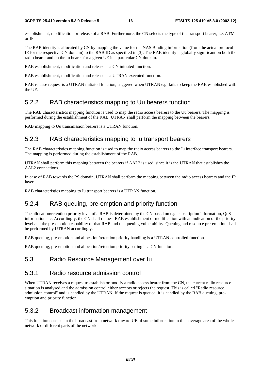establishment, modification or release of a RAB. Furthermore, the CN selects the type of the transport bearer, i.e. ATM or IP.

The RAB identity is allocated by CN by mapping the value for the NAS Binding information (from the actual protocol IE for the respective CN domain) to the RAB ID as specified in [3]. The RAB identity is globally significant on both the radio bearer and on the Iu bearer for a given UE in a particular CN domain.

RAB establishment, modification and release is a CN initiated function.

RAB establishment, modification and release is a UTRAN executed function.

RAB release request is a UTRAN initiated function, triggered when UTRAN e.g. fails to keep the RAB established with the UE.

#### 5.2.2 RAB characteristics mapping to Uu bearers function

The RAB characteristics mapping function is used to map the radio access bearers to the Uu bearers. The mapping is performed during the establishment of the RAB. UTRAN shall perform the mapping between the bearers.

RAB mapping to Uu transmission bearers is a UTRAN function.

#### 5.2.3 RAB characteristics mapping to Iu transport bearers

The RAB characteristics mapping function is used to map the radio access bearers to the Iu interface transport bearers. The mapping is performed during the establishment of the RAB.

UTRAN shall perform this mapping between the bearers if AAL2 is used, since it is the UTRAN that establishes the AAL2 connections.

In case of RAB towards the PS domain, UTRAN shall perform the mapping between the radio access bearers and the IP layer.

RAB characteristics mapping to Iu transport bearers is a UTRAN function.

### 5.2.4 RAB queuing, pre-emption and priority function

The allocation/retention priority level of a RAB is determined by the CN based on e.g. subscription information, QoS information etc. Accordingly, the CN shall request RAB establishment or modification with an indication of the priority level and the pre-emption capability of that RAB and the queuing vulnerability. Queuing and resource pre-emption shall be performed by UTRAN accordingly.

RAB queuing, pre-emption and allocation/retention priority handling is a UTRAN controlled function.

RAB queuing, pre-emption and allocation/retention priority setting is a CN function.

#### 5.3 Radio Resource Management over Iu

#### 5.3.1 Radio resource admission control

When UTRAN receives a request to establish or modify a radio access bearer from the CN, the current radio resource situation is analysed and the admission control either accepts or rejects the request. This is called "Radio resource admission control" and is handled by the UTRAN. If the request is queued, it is handled by the RAB queuing, preemption and priority function.

#### 5.3.2 Broadcast information management

This function consists in the broadcast from network toward UE of some information in the coverage area of the whole network or different parts of the network.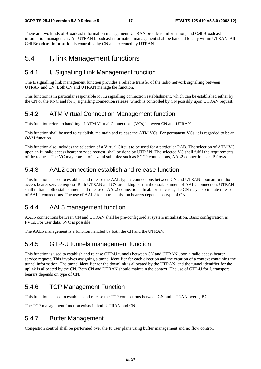There are two kinds of Broadcast information management. UTRAN broadcast information, and Cell Broadcast information management. All UTRAN broadcast information management shall be handled locally within UTRAN. All Cell Broadcast information is controlled by CN and executed by UTRAN.

## 5.4 Iu link Management functions

### 5.4.1 Iu Signalling Link Management function

The  $I<sub>u</sub>$  signalling link management function provides a reliable transfer of the radio network signalling between UTRAN and CN. Both CN and UTRAN manage the function.

This function is in particular responsible for Iu signalling connection establishment, which can be established either by the CN or the RNC and for  $I_u$  signalling connection release, which is controlled by CN possibly upon UTRAN request.

### 5.4.2 ATM Virtual Connection Management function

This function refers to handling of ATM Virtual Connections (VCs) between CN and UTRAN.

This function shall be used to establish, maintain and release the ATM VCs. For permanent VCs, it is regarded to be an O&M function.

This function also includes the selection of a Virtual Circuit to be used for a particular RAB. The selection of ATM VC upon an Iu radio access bearer service request, shall be done by UTRAN. The selected VC shall fulfil the requirements of the request. The VC may consist of several sublinks: such as SCCP connections, AAL2 connections or IP flows.

### 5.4.3 AAL2 connection establish and release function

This function is used to establish and release the AAL type 2 connections between CN and UTRAN upon an Iu radio access bearer service request. Both UTRAN and CN are taking part in the establishment of AAL2 connection. UTRAN shall initiate both establishment and release of AAL2 connections. In abnormal cases, the CN may also initiate release of AAL2 connections. The use of AAL2 for Iu transmission bearers depends on type of CN.

### 5.4.4 AAL5 management function

AAL5 connections between CN and UTRAN shall be pre-configured at system initialisation. Basic configuration is PVCs. For user data, SVC is possible.

The AAL5 management is a function handled by both the CN and the UTRAN.

### 5.4.5 GTP-U tunnels management function

This function is used to establish and release GTP-U tunnels between CN and UTRAN upon a radio access bearer service request. This involves assigning a tunnel identifier for each direction and the creation of a context containing the tunnel information. The tunnel identifier for the downlink is allocated by the UTRAN, and the tunnel identifier for the uplink is allocated by the CN. Both CN and UTRAN should maintain the context. The use of GTP-U for  $I<sub>u</sub>$  transport bearers depends on type of CN.

### 5.4.6 TCP Management Function

This function is used to establish and release the TCP connections between CN and UTRAN over  $I_u$ -BC.

The TCP management function exists in both UTRAN and CN.

### 5.4.7 Buffer Management

Congestion control shall be performed over the Iu user plane using buffer management and no flow control.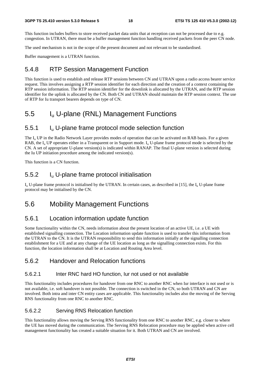This function includes buffers to store received packet data units that at reception can not be processed due to e.g. congestion. In UTRAN, there must be a buffer management function handling received packets from the peer CN node.

The used mechanism is not in the scope of the present document and not relevant to be standardised.

Buffer management is a UTRAN function.

#### 5.4.8 RTP Session Management Function

This function is used to establish and release RTP sessions between CN and UTRAN upon a radio access bearer service request. This involves assigning a RTP session identifier for each direction and the creation of a context containing the RTP session information. The RTP session identifier for the downlink is allocated by the UTRAN, and the RTP session identifier for the uplink is allocated by the CN. Both CN and UTRAN should maintain the RTP session context. The use of RTP for Iu transport bearers depends on type of CN.

### 5.5 Iu U-plane (RNL) Management Functions

### 5.5.1 Iu U-plane frame protocol mode selection function

The I<sub>u</sub> UP in the Radio Network Layer provides modes of operation that can be activated on RAB basis. For a given RAB, the  $I_{\text{u}}$  UP operates either in a Transparent or in Support mode.  $I_{\text{u}}$  U-plane frame protocol mode is selected by the CN. A set of appropriate U-plane version(s) is indicated within RANAP. The final U-plane version is selected during the Iu UP initiation procedure among the indicated version(s).

This function is a CN function.

### 5.5.2 Iu U-plane frame protocol initialisation

 $I_{u}$  U-plane frame protocol is initialised by the UTRAN. In certain cases, as described in [15], the  $I_{u}$  U-plane frame protocol may be initialised by the CN.

### 5.6 Mobility Management Functions

### 5.6.1 Location information update function

Some functionality within the CN, needs information about the present location of an active UE, i.e. a UE with established signalling connection. The Location information update function is used to transfer this information from the UTRAN to the CN. It is the UTRAN responsibility to send this information initially at the signalling connection establishment for a UE and at any change of the UE location as long as the signalling connection exists. For this function, the location information shall be at Location and Routing Area level.

#### 5.6.2 Handover and Relocation functions

#### 5.6.2.1 Inter RNC hard HO function, Iur not used or not available

This functionality includes procedures for handover from one RNC to another RNC when Iur interface is not used or is not available, i.e. soft handover is not possible. The connection is switched in the CN, so both UTRAN and CN are involved. Both intra and inter CN entity cases are applicable. This functionality includes also the moving of the Serving RNS functionality from one RNC to another RNC.

#### 5.6.2.2 Serving RNS Relocation function

This functionality allows moving the Serving RNS functionality from one RNC to another RNC, e.g. closer to where the UE has moved during the communication. The Serving RNS Relocation procedure may be applied when active cell management functionality has created a suitable situation for it. Both UTRAN and CN are involved.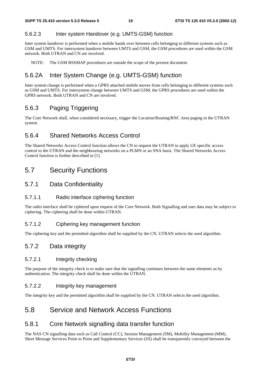#### 5.6.2.3 Inter system Handover (e.g. UMTS-GSM) function

Inter system handover is performed when a mobile hands over between cells belonging to different systems such as GSM and UMTS. For intersystem handover between UMTS and GSM, the GSM procedures are used within the GSM network. Both UTRAN and CN are involved.

NOTE: The GSM BSSMAP procedures are outside the scope of the present document.

### 5.6.2A Inter System Change (e.g. UMTS-GSM) function

Inter system change is performed when a GPRS attached mobile moves from cells belonging to different systems such as GSM and UMTS. For intersystem change between UMTS and GSM, the GPRS procedures are used within the GPRS network. Both UTRAN and CN are involved.

### 5.6.3 Paging Triggering

The Core Network shall, when considered necessary, trigger the Location/Routing/RNC Area paging in the UTRAN system.

### 5.6.4 Shared Networks Access Control

The Shared Networks Access Control function allows the CN to request the UTRAN to apply UE specific access control to the UTRAN and the neighbouring networks on a PLMN or an SNA basis. The Shared Networks Access Control function is further described in [1].

### 5.7 Security Functions

#### 5.7.1 Data Confidentiality

#### 5.7.1.1 Radio interface ciphering function

The radio interface shall be ciphered upon request of the Core Network. Both Signalling and user data may be subject to ciphering. The ciphering shall be done within UTRAN.

#### 5.7.1.2 Ciphering key management function

The ciphering key and the permitted algorithm shall be supplied by the CN. UTRAN selects the used algorithm.

### 5.7.2 Data integrity

#### 5.7.2.1 Integrity checking

The purpose of the integrity check is to make sure that the signalling continues between the same elements as by authentication. The integrity check shall be done within the UTRAN.

#### 5.7.2.2 Integrity key management

The integrity key and the permitted algorithm shall be supplied by the CN. UTRAN selects the used algorithm.

### 5.8 Service and Network Access Functions

### 5.8.1 Core Network signalling data transfer function

The NAS CN signalling data such as Call Control (CC), Session Management (SM), Mobility Management (MM), Short Message Services Point to Point and Supplementary Services (SS) shall be transparently conveyed between the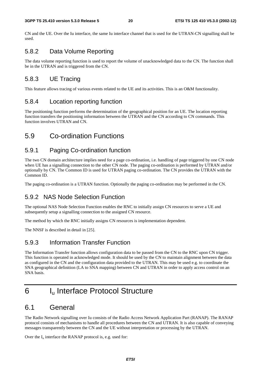CN and the UE. Over the Iu interface, the same Iu interface channel that is used for the UTRAN-CN signalling shall be used.

### 5.8.2 Data Volume Reporting

The data volume reporting function is used to report the volume of unacknowledged data to the CN. The function shall be in the UTRAN and is triggered from the CN.

### 5.8.3 UE Tracing

This feature allows tracing of various events related to the UE and its activities. This is an O&M functionality.

### 5.8.4 Location reporting function

The positioning function performs the determination of the geographical position for an UE. The location reporting function transfers the positioning information between the UTRAN and the CN according to CN commands. This function involves UTRAN and CN.

## 5.9 Co-ordination Functions

### 5.9.1 Paging Co-ordination function

The two CN domain architecture implies need for a page co-ordination, i.e. handling of page triggered by one CN node when UE has a signalling connection to the other CN node. The paging co-ordination is performed by UTRAN and/or optionally by CN. The Common ID is used for UTRAN paging co-ordination. The CN provides the UTRAN with the Common ID.

The paging co-ordination is a UTRAN function. Optionally the paging co-ordination may be performed in the CN.

### 5.9.2 NAS Node Selection Function

The optional NAS Node Selection Function enables the RNC to initially assign CN resources to serve a UE and subsequently setup a signalling connection to the assigned CN resource.

The method by which the RNC initially assigns CN resources is implementation dependent.

The NNSF is described in detail in [25].

### 5.9.3 Information Transfer Function

The Information Transfer function allows configuration data to be passed from the CN to the RNC upon CN trigger. This function is operated in acknowledged mode. It should be used by the CN to maintain alignment between the data as configured in the CN and the configuration data provided to the UTRAN. This may be used e.g. to coordinate the SNA geographical definition (LA to SNA mapping) between CN and UTRAN in order to apply access control on an SNA basis.

## 6 Iu Interface Protocol Structure

### 6.1 General

The Radio Network signalling over Iu consists of the Radio Access Network Application Part (RANAP). The RANAP protocol consists of mechanisms to handle all procedures between the CN and UTRAN. It is also capable of conveying messages transparently between the CN and the UE without interpretation or processing by the UTRAN.

Over the  $I_u$  interface the RANAP protocol is, e.g. used for: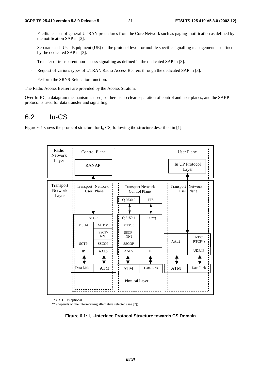- Facilitate a set of general UTRAN procedures from the Core Network such as paging -notification as defined by the notification SAP in [3].
- Separate each User Equipment (UE) on the protocol level for mobile specific signalling management as defined by the dedicated SAP in [3].
- Transfer of transparent non-access signalling as defined in the dedicated SAP in [3].
- Request of various types of UTRAN Radio Access Bearers through the dedicated SAP in [3].
- Perform the SRNS Relocation function.

The Radio Access Bearers are provided by the Access Stratum.

Over Iu-BC, a datagram mechanism is used, so there is no clear separation of control and user planes, and the SABP protocol is used for data transfer and signalling.

### 6.2 Iu-CS

Figure 6.1 shows the protocol structure for  $I_u$ -CS, following the structure described in [1].



\*) RTCP is optional

\*\*) depends on the interworking alternative selected (see [7])

**Figure 6.1: Iu –Interface Protocol Structure towards CS Domain**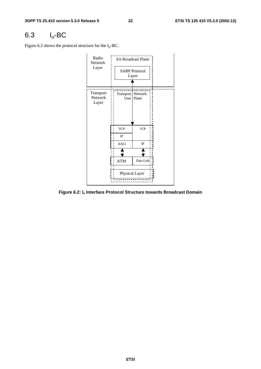## 6.3 Iu-BC

Figure 6.2 shows the protocol structure for the  $I_u$ -BC.



**Figure 6.2: Iu Interface Protocol Structure towards Broadcast Domain**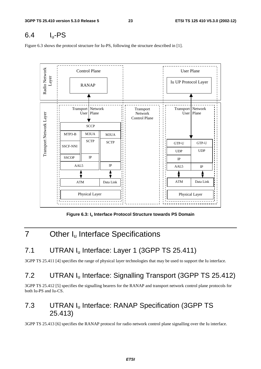## $6.4$  I<sub>u</sub>-PS

Figure 6.3 shows the protocol structure for Iu-PS, following the structure described in [1].



**Figure 6.3: Iu Interface Protocol Structure towards PS Domain** 

## 7 Other I<sub>u</sub> Interface Specifications

## 7.1 UTRAN I<sub>u</sub> Interface: Layer 1 (3GPP TS 25.411)

3GPP TS 25.411 [4] specifies the range of physical layer technologies that may be used to support the Iu interface.

## 7.2 UTRAN I<sub>u</sub> Interface: Signalling Transport (3GPP TS 25.412)

3GPP TS 25.412 [5] specifies the signalling bearers for the RANAP and transport network control plane protocols for both Iu-PS and Iu-CS.

## 7.3 UTRAN I<sub>u</sub> Interface: RANAP Specification (3GPP TS 25.413)

3GPP TS 25.413 [6] specifies the RANAP protocol for radio network control plane signalling over the Iu interface.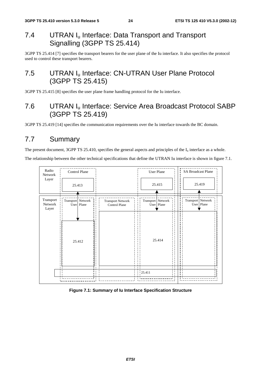## 7.4 UTRAN I<sub>u</sub> Interface: Data Transport and Transport Signalling (3GPP TS 25.414)

3GPP TS 25.414 [7] specifies the transport bearers for the user plane of the Iu interface. It also specifies the protocol used to control these transport bearers.

## 7.5 UTRAN I<sub>u</sub> Interface: CN-UTRAN User Plane Protocol (3GPP TS 25.415)

3GPP TS 25.415 [8] specifies the user plane frame handling protocol for the Iu interface.

## 7.6 UTRAN Iu Interface: Service Area Broadcast Protocol SABP (3GPP TS 25.419)

3GPP TS 25.419 [14] specifies the communication requirements over the Iu interface towards the BC domain.

## 7.7 Summary

The present document, 3GPP TS 25.410, specifies the general aspects and principles of the  $I_u$  interface as a whole.

The relationship between the other technical specifications that define the UTRAN Iu interface is shown in figure 7.1.



#### **Figure 7.1: Summary of Iu Interface Specification Structure**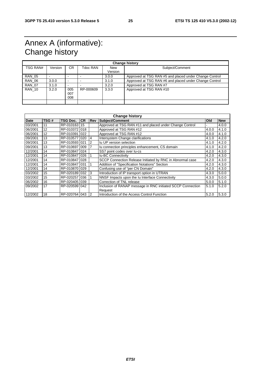## Annex A (informative): Change history

| <b>Change history</b> |         |                          |           |                       |                                                        |  |
|-----------------------|---------|--------------------------|-----------|-----------------------|--------------------------------------------------------|--|
| TSG RAN#              | Version | CR.                      | Tdoc RAN  | <b>New</b><br>Version | Subject/Comment                                        |  |
| <b>RAN 05</b>         |         | $\overline{\phantom{0}}$ |           | 3.0.0                 | Approved at TSG RAN #5 and placed under Change Control |  |
| <b>RAN 06</b>         | 3.0.0   | $\overline{\phantom{0}}$ |           | 3.1.0                 | Approved at TSG RAN #6 and placed under Change Control |  |
| <b>RAN 07</b>         | 3.1.0   | $\overline{\phantom{0}}$ |           | 3.2.0                 | Approved at TSG RAN #7                                 |  |
| <b>RAN 10</b>         | 3.2.0   | 005<br>007<br>800        | RP-000609 | 3.3.0                 | Approved at TSG RAN #10                                |  |
|                       |         |                          |           |                       |                                                        |  |

| <b>Change history</b> |      |               |           |     |                                                             |       |            |
|-----------------------|------|---------------|-----------|-----|-------------------------------------------------------------|-------|------------|
| <b>Date</b>           | TSG# | TSG Doc.      | <b>CR</b> | Rev | Subject/Comment                                             | Old   | <b>New</b> |
| 03/2001               | 11   | RP-010163     | 15        |     | Approved at TSG RAN #11 and placed under Change Control     |       | 4.0.0      |
| 06/2001               | 12   | RP-010372 018 |           |     | Approved at TSG RAN #12                                     | 4.0.0 | 4.1.0      |
| 06/2001               | 12   | RP-010391     | 022       |     | Approved at TSG RAN #12                                     | 4.0.0 | 4.1.0      |
| 09/2001               | 13   | RP-0105771020 |           | 4   | Intersystem Change clarifications                           | 4.1.0 | 4.2.0      |
| 09/2001               | 13   | RP-0105931021 |           | 2   | Iu UP version selection                                     | 4.1.0 | 4.2.0      |
| 09/2001               | 13   | RP-010697     | 009       |     | Iu connection principles enhancement, CS domain             | 4.1.0 | 4.2.0      |
| 12/2001               | 14   | RP-010847 024 |           |     | SS7 point codes over lu-cs                                  | 4.2.0 | 4.3.0      |
| 12/2001               | 14   | RP-010847 026 |           |     | <b>Iu-BC Connectivity</b>                                   | 4.2.0 | 4.3.0      |
| 12/2001               | 14   | RP-010847 028 |           |     | SCCP Connection Release Initiated by RNC in Abnormal case   | 4.2.0 | 4.3.0      |
| 12/2001               | 14   | RP-0108471031 |           |     | Addition of "Specification Notations" Section               | 4.2.0 | 4.3.0      |
| 12/2001               | 14   | RP-0108701029 |           |     | Confusing use of "per CN Domain"                            | 4.2.0 | 4.3.0      |
| 03/2002               | 15   | RP-0201891032 |           | 3   | Introduction of IP transport option in UTRAN                | 4.3.0 | 5.0.0      |
| 03/2002               | 15   | RP-020257     | 036       |     | NNSF Impacts upon the Iu Interface Connectivity             | 4.3.0 | 5.0.0      |
| 06/2002               | 16   | RP-020405     | 039       |     | Correction of TNL release                                   | 5.0.0 | 5.1.0      |
| 09/2002               | 17   | RP-0205991042 |           |     | Inclusion of RANAP message in RNC initiated SCCP Connection | 5.1.0 | 5.2.0      |
|                       |      |               |           |     | Request                                                     |       |            |
| 12/2002               | 18   | RP-020764 043 |           | 2   | Introduction of the Access Control Function                 | 5.2.0 | 5.3.0      |

**ETSI**